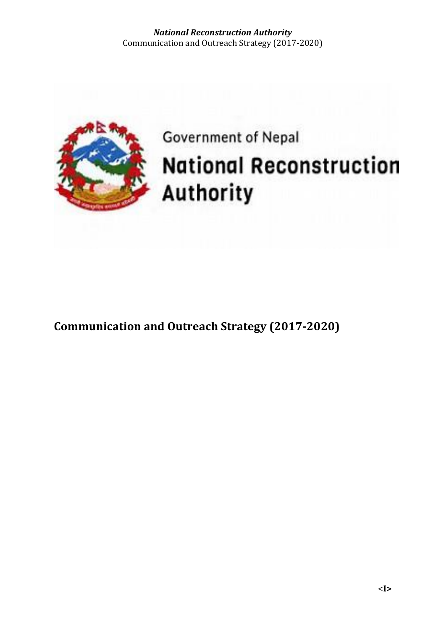

# Government of Nepal **National Reconstruction** Authority

**Communication and Outreach Strategy (2017-2020)**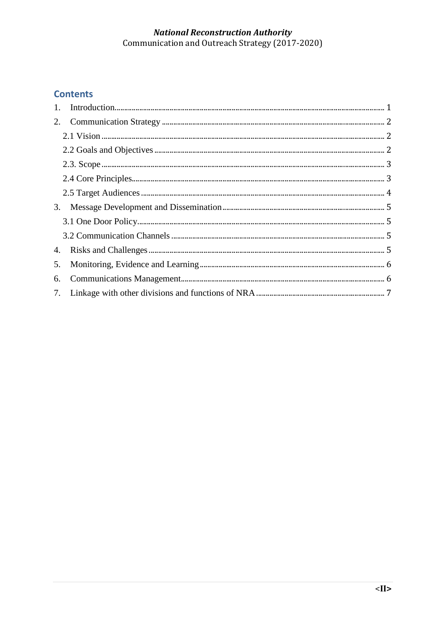## **Contents**

| 5. |  |
|----|--|
| 6. |  |
|    |  |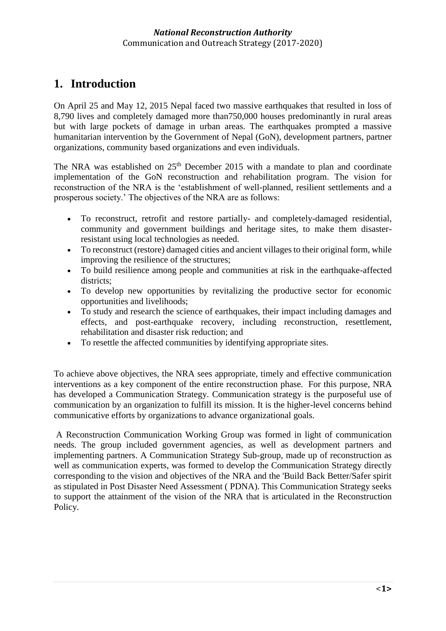# <span id="page-2-0"></span>**1. Introduction**

On April 25 and May 12, 2015 Nepal faced two massive earthquakes that resulted in loss of 8,790 lives and completely damaged more than750,000 houses predominantly in rural areas but with large pockets of damage in urban areas. The earthquakes prompted a massive humanitarian intervention by the Government of Nepal (GoN), development partners, partner organizations, community based organizations and even individuals.

The NRA was established on 25<sup>th</sup> December 2015 with a mandate to plan and coordinate implementation of the GoN reconstruction and rehabilitation program. The vision for reconstruction of the NRA is the 'establishment of well-planned, resilient settlements and a prosperous society.' The objectives of the NRA are as follows:

- To reconstruct, retrofit and restore partially- and completely-damaged residential, community and government buildings and heritage sites, to make them disasterresistant using local technologies as needed.
- To reconstruct (restore) damaged cities and ancient villages to their original form, while improving the resilience of the structures;
- To build resilience among people and communities at risk in the earthquake-affected districts;
- To develop new opportunities by revitalizing the productive sector for economic opportunities and livelihoods;
- To study and research the science of earthquakes, their impact including damages and effects, and post-earthquake recovery, including reconstruction, resettlement, rehabilitation and disaster risk reduction; and
- To resettle the affected communities by identifying appropriate sites.

To achieve above objectives, the NRA sees appropriate, timely and effective communication interventions as a key component of the entire reconstruction phase. For this purpose, NRA has developed a Communication Strategy. Communication strategy is the purposeful use of communication by an organization to fulfill its mission. It is the higher-level concerns behind communicative efforts by organizations to advance organizational goals.

A Reconstruction Communication Working Group was formed in light of communication needs. The group included government agencies, as well as development partners and implementing partners. A Communication Strategy Sub-group, made up of reconstruction as well as communication experts, was formed to develop the Communication Strategy directly corresponding to the vision and objectives of the NRA and the 'Build Back Better/Safer spirit as stipulated in Post Disaster Need Assessment ( PDNA). This Communication Strategy seeks to support the attainment of the vision of the NRA that is articulated in the Reconstruction Policy.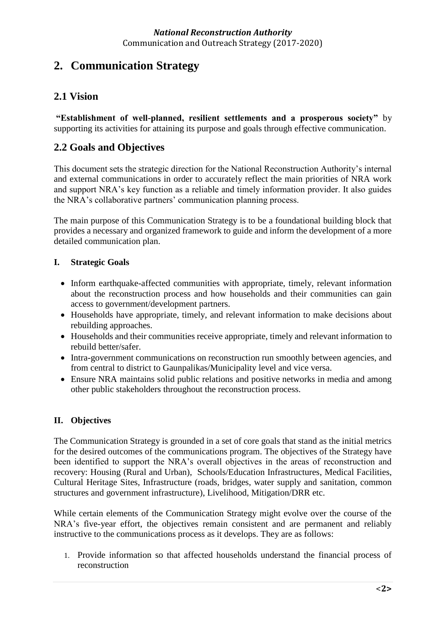# <span id="page-3-0"></span>**2. Communication Strategy**

## <span id="page-3-1"></span>**2.1 Vision**

**"Establishment of well-planned, resilient settlements and a prosperous society"** by supporting its activities for attaining its purpose and goals through effective communication.

## <span id="page-3-2"></span>**2.2 Goals and Objectives**

This document sets the strategic direction for the National Reconstruction Authority's internal and external communications in order to accurately reflect the main priorities of NRA work and support NRA's key function as a reliable and timely information provider. It also guides the NRA's collaborative partners' communication planning process.

The main purpose of this Communication Strategy is to be a foundational building block that provides a necessary and organized framework to guide and inform the development of a more detailed communication plan.

#### **I. Strategic Goals**

- Inform earthquake-affected communities with appropriate, timely, relevant information about the reconstruction process and how households and their communities can gain access to government/development partners.
- Households have appropriate, timely, and relevant information to make decisions about rebuilding approaches.
- Households and their communities receive appropriate, timely and relevant information to rebuild better/safer.
- Intra-government communications on reconstruction run smoothly between agencies, and from central to district to Gaunpalikas/Municipality level and vice versa.
- Ensure NRA maintains solid public relations and positive networks in media and among other public stakeholders throughout the reconstruction process.

## **II. Objectives**

The Communication Strategy is grounded in a set of core goals that stand as the initial metrics for the desired outcomes of the communications program. The objectives of the Strategy have been identified to support the NRA's overall objectives in the areas of reconstruction and recovery: Housing (Rural and Urban), Schools/Education Infrastructures, Medical Facilities, Cultural Heritage Sites, Infrastructure (roads, bridges, water supply and sanitation, common structures and government infrastructure), Livelihood, Mitigation/DRR etc.

While certain elements of the Communication Strategy might evolve over the course of the NRA's five-year effort, the objectives remain consistent and are permanent and reliably instructive to the communications process as it develops. They are as follows:

1. Provide information so that affected households understand the financial process of reconstruction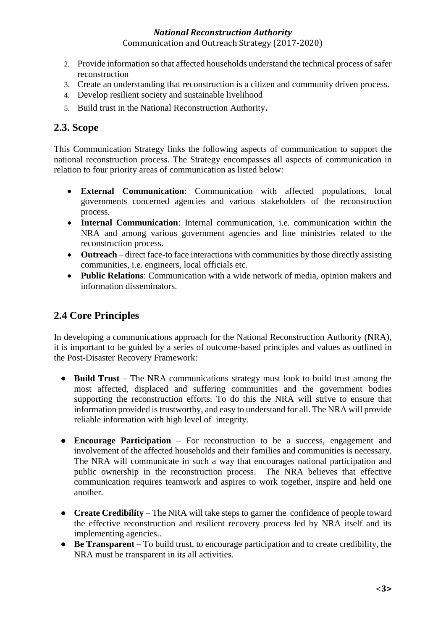#### *National Reconstruction Authority*

Communication and Outreach Strategy (2017-2020)

- 2. Provide information so that affected households understand the technical process of safer reconstruction
- 3. Create an understanding that reconstruction is a citizen and community driven process.
- 4. Develop resilient society and sustainable livelihood
- 5. Build trust in the National Reconstruction Authority.

### <span id="page-4-0"></span>**2.3. Scope**

This Communication Strategy links the following aspects of communication to support the national reconstruction process. The Strategy encompasses all aspects of communication in relation to four priority areas of communication as listed below:

- **External Communication**: Communication with affected populations, local governments concerned agencies and various stakeholders of the reconstruction process.
- **Internal Communication**: Internal communication, i.e. communication within the NRA and among various government agencies and line ministries related to the reconstruction process.
- **Outreach** direct face-to face interactions with communities by those directly assisting communities, i.e. engineers, local officials etc.
- **Public Relations**: Communication with a wide network of media, opinion makers and information disseminators.

# <span id="page-4-1"></span>**2.4 Core Principles**

In developing a communications approach for the National Reconstruction Authority (NRA), it is important to be guided by a series of outcome-based principles and values as outlined in the Post-Disaster Recovery Framework:

- **Build Trust** The NRA communications strategy must look to build trust among the most affected, displaced and suffering communities and the government bodies supporting the reconstruction efforts. To do this the NRA will strive to ensure that information provided is trustworthy, and easy to understand for all. The NRA will provide reliable information with high level of integrity.
- **Encourage Participation** For reconstruction to be a success, engagement and involvement of the affected households and their families and communities is necessary. The NRA will communicate in such a way that encourages national participation and public ownership in the reconstruction process. The NRA believes that effective communication requires teamwork and aspires to work together, inspire and held one another.
- **Create Credibility** The NRA will take steps to garner the confidence of people toward the effective reconstruction and resilient recovery process led by NRA itself and its implementing agencies..
- **Be Transparent –** To build trust, to encourage participation and to create credibility, the NRA must be transparent in its all activities.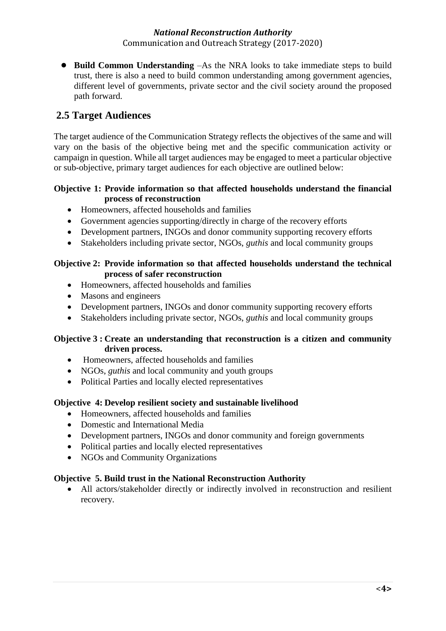#### *National Reconstruction Authority*

Communication and Outreach Strategy (2017-2020)

● **Build Common Understanding** –As the NRA looks to take immediate steps to build trust, there is also a need to build common understanding among government agencies, different level of governments, private sector and the civil society around the proposed path forward.

## <span id="page-5-0"></span>**2.5 Target Audiences**

The target audience of the Communication Strategy reflects the objectives of the same and will vary on the basis of the objective being met and the specific communication activity or campaign in question. While all target audiences may be engaged to meet a particular objective or sub-objective, primary target audiences for each objective are outlined below:

#### **Objective 1: Provide information so that affected households understand the financial process of reconstruction**

- Homeowners, affected households and families
- Government agencies supporting/directly in charge of the recovery efforts
- Development partners, INGOs and donor community supporting recovery efforts
- Stakeholders including private sector, NGOs, *guthis* and local community groups

#### **Objective 2: Provide information so that affected households understand the technical process of safer reconstruction**

- Homeowners, affected households and families
- Masons and engineers
- Development partners, INGOs and donor community supporting recovery efforts
- Stakeholders including private sector, NGOs, *guthis* and local community groups

#### **Objective 3 : Create an understanding that reconstruction is a citizen and community driven process.**

- Homeowners, affected households and families
- NGOs, *guthis* and local community and youth groups
- Political Parties and locally elected representatives

#### **Objective 4: Develop resilient society and sustainable livelihood**

- Homeowners, affected households and families
- Domestic and International Media
- Development partners, INGOs and donor community and foreign governments
- Political parties and locally elected representatives
- NGOs and Community Organizations

#### **Objective 5. Build trust in the National Reconstruction Authority**

 All actors/stakeholder directly or indirectly involved in reconstruction and resilient recovery.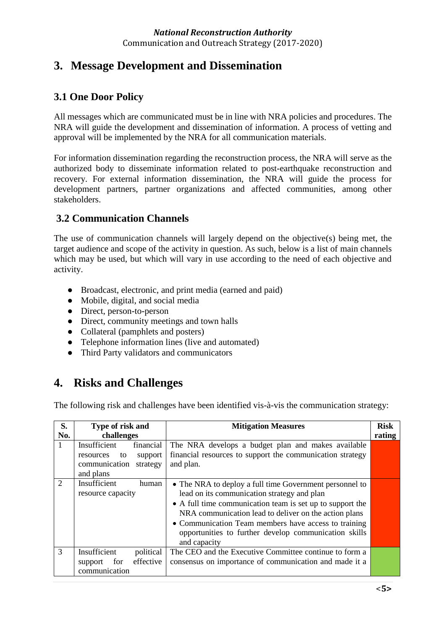# <span id="page-6-0"></span>**3. Message Development and Dissemination**

## <span id="page-6-1"></span>**3.1 One Door Policy**

All messages which are communicated must be in line with NRA policies and procedures. The NRA will guide the development and dissemination of information. A process of vetting and approval will be implemented by the NRA for all communication materials.

For information dissemination regarding the reconstruction process, the NRA will serve as the authorized body to disseminate information related to post-earthquake reconstruction and recovery. For external information dissemination, the NRA will guide the process for development partners, partner organizations and affected communities, among other stakeholders.

## <span id="page-6-2"></span>**3.2 Communication Channels**

The use of communication channels will largely depend on the objective(s) being met, the target audience and scope of the activity in question. As such, below is a list of main channels which may be used, but which will vary in use according to the need of each objective and activity.

- Broadcast, electronic, and print media (earned and paid)
- Mobile, digital, and social media
- Direct, person-to-person
- Direct, community meetings and town halls
- Collateral (pamphlets and posters)
- Telephone information lines (live and automated)
- <span id="page-6-3"></span>● Third Party validators and communicators

# **4. Risks and Challenges**

The following risk and challenges have been identified vis-à-vis the communication strategy:

| S.<br>No. | Type of risk and<br>challenges                                                                    | <b>Mitigation Measures</b>                                                                                                                                                                                                                                                                                                                                    | <b>Risk</b><br>rating |
|-----------|---------------------------------------------------------------------------------------------------|---------------------------------------------------------------------------------------------------------------------------------------------------------------------------------------------------------------------------------------------------------------------------------------------------------------------------------------------------------------|-----------------------|
| 1         | Insufficient<br>financial<br>support<br>resources<br>to<br>communication<br>strategy<br>and plans | The NRA develops a budget plan and makes available<br>financial resources to support the communication strategy<br>and plan.                                                                                                                                                                                                                                  |                       |
| 2         | Insufficient<br>human<br>resource capacity                                                        | • The NRA to deploy a full time Government personnel to<br>lead on its communication strategy and plan<br>• A full time communication team is set up to support the<br>NRA communication lead to deliver on the action plans<br>• Communication Team members have access to training<br>opportunities to further develop communication skills<br>and capacity |                       |
| 3         | Insufficient<br>political<br>effective<br>for<br>support<br>communication                         | The CEO and the Executive Committee continue to form a<br>consensus on importance of communication and made it a                                                                                                                                                                                                                                              |                       |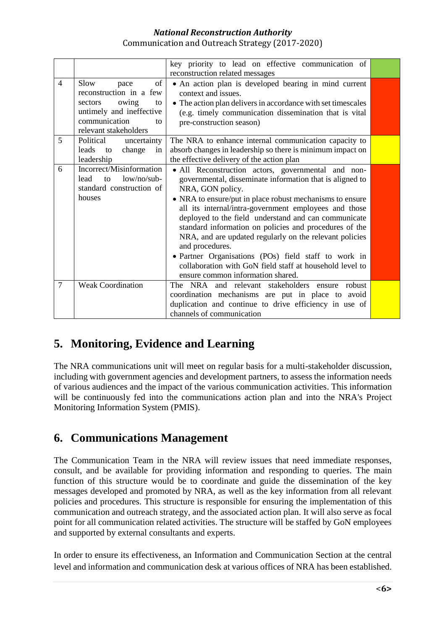|                |                             | key priority to lead on effective communication of           |  |
|----------------|-----------------------------|--------------------------------------------------------------|--|
|                |                             | reconstruction related messages                              |  |
| $\overline{4}$ | of<br>Slow<br>pace          | • An action plan is developed bearing in mind current        |  |
|                | reconstruction in a few     | context and issues.                                          |  |
|                | owing<br>sectors<br>to      | • The action plan delivers in accordance with set timescales |  |
|                | untimely and ineffective    | (e.g. timely communication dissemination that is vital       |  |
|                | communication<br>tΩ         | pre-construction season)                                     |  |
|                | relevant stakeholders       |                                                              |  |
| 5              | Political<br>uncertainty    | The NRA to enhance internal communication capacity to        |  |
|                | leads<br>change<br>to<br>in | absorb changes in leadership so there is minimum impact on   |  |
|                | leadership                  | the effective delivery of the action plan                    |  |
| 6              | Incorrect/Misinformation    | • All Reconstruction actors, governmental and non-           |  |
|                | low/no/sub<br>lead<br>to    | governmental, disseminate information that is aligned to     |  |
|                | standard construction of    | NRA, GON policy.                                             |  |
|                | houses                      | • NRA to ensure/put in place robust mechanisms to ensure     |  |
|                |                             | all its internal/intra-government employees and those        |  |
|                |                             | deployed to the field understand and can communicate         |  |
|                |                             | standard information on policies and procedures of the       |  |
|                |                             | NRA, and are updated regularly on the relevant policies      |  |
|                |                             | and procedures.                                              |  |
|                |                             | • Partner Organisations (POs) field staff to work in         |  |
|                |                             | collaboration with GoN field staff at household level to     |  |
|                |                             | ensure common information shared.                            |  |
| $\overline{7}$ | <b>Weak Coordination</b>    | The NRA and relevant stakeholders ensure<br>robust           |  |
|                |                             | coordination mechanisms are put in place to avoid            |  |
|                |                             | duplication and continue to drive efficiency in use of       |  |
|                |                             | channels of communication                                    |  |
|                |                             |                                                              |  |

# <span id="page-7-0"></span>**5. Monitoring, Evidence and Learning**

The NRA communications unit will meet on regular basis for a multi-stakeholder discussion, including with government agencies and development partners, to assess the information needs of various audiences and the impact of the various communication activities. This information will be continuously fed into the communications action plan and into the NRA's Project Monitoring Information System (PMIS).

# <span id="page-7-1"></span>**6. Communications Management**

The Communication Team in the NRA will review issues that need immediate responses, consult, and be available for providing information and responding to queries. The main function of this structure would be to coordinate and guide the dissemination of the key messages developed and promoted by NRA, as well as the key information from all relevant policies and procedures. This structure is responsible for ensuring the implementation of this communication and outreach strategy, and the associated action plan. It will also serve as focal point for all communication related activities. The structure will be staffed by GoN employees and supported by external consultants and experts.

In order to ensure its effectiveness, an Information and Communication Section at the central level and information and communication desk at various offices of NRA has been established.